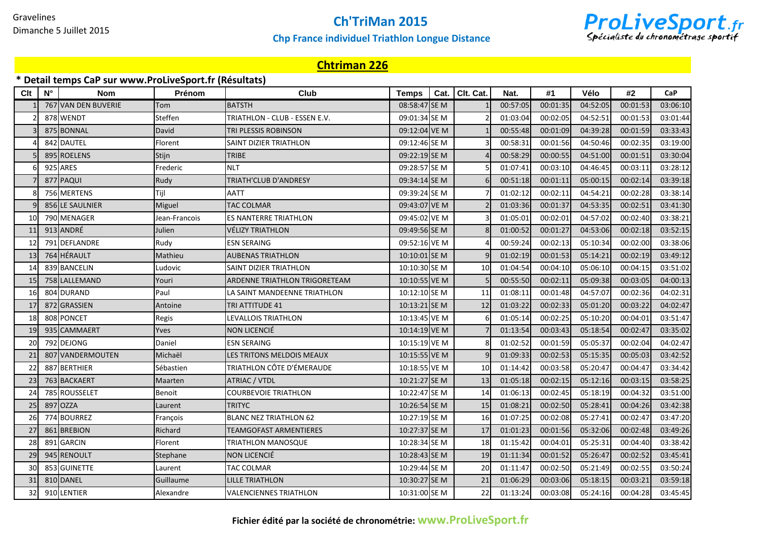Gravelines Dimanche 5 Juillet 2015

**Ch'TriMan 2015**





### **Chtriman 226**

### **\* Detail temps CaP sur www.ProLiveSport.fr (Résultats)**

| Clt | $N^{\circ}$ | <b>Nom</b>          | Prénom        | Club                          | <b>Temps</b>  | Cat. | Cit. Cat. | Nat.     | #1       | Vélo     | #2       | CaP      |
|-----|-------------|---------------------|---------------|-------------------------------|---------------|------|-----------|----------|----------|----------|----------|----------|
|     |             | 767 VAN DEN BUVERIE | Tom           | <b>BATSTH</b>                 | 08:58:47 SE M |      |           | 00:57:05 | 00:01:35 | 04:52:05 | 00:01:53 | 03:06:10 |
|     |             | 878 WENDT           | Steffen       | TRIATHLON - CLUB - ESSEN E.V. | 09:01:34 SE M |      |           | 01:03:04 | 00:02:05 | 04:52:51 | 00:01:53 | 03:01:44 |
|     |             | 875 BONNAL          | David         | TRI PLESSIS ROBINSON          | 09:12:04 VE M |      |           | 00:55:48 | 00:01:09 | 04:39:28 | 00:01:59 | 03:33:43 |
|     |             | 842 DAUTEL          | Florent       | SAINT DIZIER TRIATHLON        | 09:12:46 SE M |      |           | 00:58:31 | 00:01:56 | 04:50:46 | 00:02:35 | 03:19:00 |
|     |             | 895 ROELENS         | Stijn         | <b>TRIBE</b>                  | 09:22:19 SE M |      |           | 00:58:29 | 00:00:55 | 04:51:00 | 00:01:51 | 03:30:04 |
|     |             | 925 ARES            | Frederic      | <b>NLT</b>                    | 09:28:57 SE M |      |           | 01:07:41 | 00:03:10 | 04:46:45 | 00:03:11 | 03:28:12 |
|     |             | 877 PAQUI           | Rudy          | TRIATH'CLUB D'ANDRESY         | 09:34:14 SE M |      |           | 00:51:18 | 00:01:11 | 05:00:15 | 00:02:14 | 03:39:18 |
|     |             | 756 MERTENS         | <b>Tijl</b>   | AATT                          | 09:39:24 SE M |      |           | 01:02:12 | 00:02:11 | 04:54:21 | 00:02:28 | 03:38:14 |
|     |             | 856 LE SAULNIER     | Miguel        | <b>TAC COLMAR</b>             | 09:43:07 VE M |      |           | 01:03:36 | 00:01:37 | 04:53:35 | 00:02:51 | 03:41:30 |
| 10  |             | 790 MENAGER         | Jean-Francois | <b>ES NANTERRE TRIATHLON</b>  | 09:45:02 VE M |      |           | 01:05:01 | 00:02:01 | 04:57:02 | 00:02:40 | 03:38:21 |
| 11  |             | 913 ANDRÉ           | Julien        | <b>VÉLIZY TRIATHLON</b>       | 09:49:56 SE M |      |           | 01:00:52 | 00:01:27 | 04:53:06 | 00:02:18 | 03:52:15 |
| 12  |             | 791 DEFLANDRE       | Rudy          | <b>ESN SERAING</b>            | 09:52:16 VE M |      |           | 00:59:24 | 00:02:13 | 05:10:34 | 00:02:00 | 03:38:06 |
| 13  |             | 764 HÉRAULT         | Mathieu       | <b>AUBENAS TRIATHLON</b>      | 10:10:01 SE M |      |           | 01:02:19 | 00:01:53 | 05:14:21 | 00:02:19 | 03:49:12 |
| 14  |             | 839 BANCELIN        | Ludovic       | <b>SAINT DIZIER TRIATHLON</b> | 10:10:30 SE M |      | 10        | 01:04:54 | 00:04:10 | 05:06:10 | 00:04:15 | 03:51:02 |
| 15  |             | 758 LALLEMAND       | Youri         | ARDENNE TRIATHLON TRIGORETEAM | 10:10:55 VE M |      |           | 00:55:50 | 00:02:11 | 05:09:38 | 00:03:05 | 04:00:13 |
| 16  |             | 804 DURAND          | Paul          | LA SAINT MANDEENNE TRIATHLON  | 10:12:10 SE M |      | 11        | 01:08:11 | 00:01:48 | 04:57:07 | 00:02:36 | 04:02:31 |
| 17  |             | 872 GRASSIEN        | Antoine       | TRI ATTITUDE 41               | 10:13:21 SE M |      | 12        | 01:03:22 | 00:02:33 | 05:01:20 | 00:03:22 | 04:02:47 |
| 18  |             | 808 PONCET          | Regis         | <b>LEVALLOIS TRIATHLON</b>    | 10:13:45 VE M |      |           | 01:05:14 | 00:02:25 | 05:10:20 | 00:04:01 | 03:51:47 |
| 19  |             | 935 CAMMAERT        | Yves          | NON LICENCIÉ                  | 10:14:19 VE M |      |           | 01:13:54 | 00:03:43 | 05:18:54 | 00:02:47 | 03:35:02 |
| 20  |             | 792 DEJONG          | Daniel        | <b>ESN SERAING</b>            | 10:15:19 VE M |      |           | 01:02:52 | 00:01:59 | 05:05:37 | 00:02:04 | 04:02:47 |
| 21  |             | 807 VANDERMOUTEN    | Michaël       | LES TRITONS MELDOIS MEAUX     | 10:15:55 VE M |      |           | 01:09:33 | 00:02:53 | 05:15:35 | 00:05:03 | 03:42:52 |
| 22  |             | 887 BERTHIER        | Sébastien     | TRIATHLON CÔTE D'ÉMERAUDE     | 10:18:55 VE M |      | 10        | 01:14:42 | 00:03:58 | 05:20:47 | 00:04:47 | 03:34:42 |
| 23  |             | 763 BACKAERT        | Maarten       | ATRIAC / VTDL                 | 10:21:27 SE M |      | 13        | 01:05:18 | 00:02:15 | 05:12:16 | 00:03:15 | 03:58:25 |
| 24  |             | 785 ROUSSELET       | Benoit        | <b>COURBEVOIE TRIATHLON</b>   | 10:22:47 SE M |      | 14        | 01:06:13 | 00:02:45 | 05:18:19 | 00:04:32 | 03:51:00 |
| 25  |             | 897 OZZA            | Laurent       | <b>TRITYC</b>                 | 10:26:54 SE M |      | 15        | 01:08:21 | 00:02:50 | 05:28:41 | 00:04:26 | 03:42:38 |
| 26  |             | 774 BOURREZ         | François      | <b>BLANC NEZ TRIATHLON 62</b> | 10:27:19 SE M |      | 16        | 01:07:25 | 00:02:08 | 05:27:41 | 00:02:47 | 03:47:20 |
| 27  |             | 861 BREBION         | Richard       | <b>TEAMGOFAST ARMENTIERES</b> | 10:27:37 SE M |      | 17        | 01:01:23 | 00:01:56 | 05:32:06 | 00:02:48 | 03:49:26 |
| 28  |             | 891 GARCIN          | Florent       | <b>TRIATHLON MANOSQUE</b>     | 10:28:34 SE M |      | 18        | 01:15:42 | 00:04:01 | 05:25:31 | 00:04:40 | 03:38:42 |
| 29  |             | 945 RENOULT         | Stephane      | <b>NON LICENCIÉ</b>           | 10:28:43 SE M |      | 19        | 01:11:34 | 00:01:52 | 05:26:47 | 00:02:52 | 03:45:41 |
| 30  |             | 853 GUINETTE        | Laurent       | <b>TAC COLMAR</b>             | 10:29:44 SE M |      | 20        | 01:11:47 | 00:02:50 | 05:21:49 | 00:02:55 | 03:50:24 |
| 31  |             | 810 DANEL           | Guillaume     | <b>LILLE TRIATHLON</b>        | 10:30:27 SE M |      | 21        | 01:06:29 | 00:03:06 | 05:18:15 | 00:03:21 | 03:59:18 |
| 32  |             | 910 LENTIER         | Alexandre     | <b>VALENCIENNES TRIATHLON</b> | 10:31:00 SE M |      | 22        | 01:13:24 | 00:03:08 | 05:24:16 | 00:04:28 | 03:45:45 |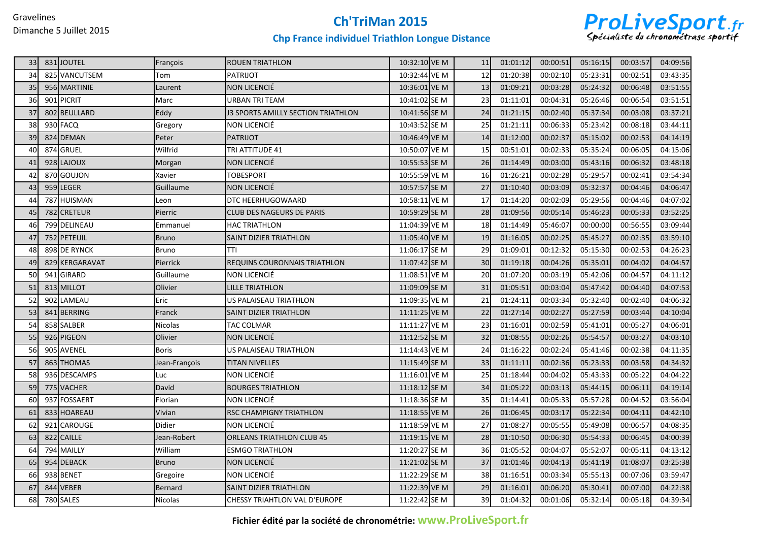

## **Chp France individuel Triathlon Longue Distance**

| 33 | 831 JOUTEL     | François       | <b>ROUEN TRIATHLON</b>                    | 10:32:10 VE M |       | 11 | 01:01:12 | 00:00:51 | 05:16:15 | 00:03:57 | 04:09:56 |
|----|----------------|----------------|-------------------------------------------|---------------|-------|----|----------|----------|----------|----------|----------|
| 34 | 825 VANCUTSEM  | Tom            | <b>PATRIJOT</b>                           | 10:32:44 VE M |       | 12 | 01:20:38 | 00:02:10 | 05:23:31 | 00:02:51 | 03:43:35 |
| 35 | 956 MARTINIE   | Laurent        | NON LICENCIÉ                              | 10:36:01 VE M |       | 13 | 01:09:21 | 00:03:28 | 05:24:32 | 00:06:48 | 03:51:55 |
| 36 | 901 PICRIT     | Marc           | URBAN TRI TEAM                            | 10:41:02      | SE M  | 23 | 01:11:01 | 00:04:31 | 05:26:46 | 00:06:54 | 03:51:51 |
| 37 | 802 BEULLARD   | Eddy           | <b>J3 SPORTS AMILLY SECTION TRIATHLON</b> | 10:41:56 SE M |       | 24 | 01:21:15 | 00:02:40 | 05:37:34 | 00:03:08 | 03:37:21 |
| 38 | 930 FACQ       | Gregory        | NON LICENCIÉ                              | 10:43:52 SE M |       | 25 | 01:21:11 | 00:06:33 | 05:23:42 | 00:08:18 | 03:44:11 |
| 39 | 824 DEMAN      | Peter          | <b>PATRIJOT</b>                           | 10:46:49 VE M |       | 14 | 01:12:00 | 00:02:37 | 05:15:02 | 00:02:53 | 04:14:19 |
| 40 | 874 GRUEL      | Wilfrid        | TRI ATTITUDE 41                           | 10:50:07 VE M |       | 15 | 00:51:01 | 00:02:33 | 05:35:24 | 00:06:05 | 04:15:06 |
| 41 | 928 LAJOUX     | Morgan         | NON LICENCIÉ                              | 10:55:53 SE M |       | 26 | 01:14:49 | 00:03:00 | 05:43:16 | 00:06:32 | 03:48:18 |
| 42 | 870 GOUJON     | Xavier         | TOBESPORT                                 | 10:55:59 VE M |       | 16 | 01:26:21 | 00:02:28 | 05:29:57 | 00:02:41 | 03:54:34 |
| 43 | 959 LEGER      | Guillaume      | NON LICENCIÉ                              | 10:57:57 SE M |       | 27 | 01:10:40 | 00:03:09 | 05:32:37 | 00:04:46 | 04:06:47 |
| 44 | 787 HUISMAN    | Leon           | DTC HEERHUGOWAARD                         | 10:58:11 VE M |       | 17 | 01:14:20 | 00:02:09 | 05:29:56 | 00:04:46 | 04:07:02 |
| 45 | 782 CRETEUR    | Pierric        | <b>CLUB DES NAGEURS DE PARIS</b>          | 10:59:29 SE M |       | 28 | 01:09:56 | 00:05:14 | 05:46:23 | 00:05:33 | 03:52:25 |
| 46 | 799 DELINEAU   | Emmanuel       | <b>HAC TRIATHLON</b>                      | 11:04:39 VE M |       | 18 | 01:14:49 | 05:46:07 | 00:00:00 | 00:56:55 | 03:09:44 |
| 47 | 752 PETEUIL    | <b>Bruno</b>   | SAINT DIZIER TRIATHLON                    | 11:05:40 VE M |       | 19 | 01:16:05 | 00:02:25 | 05:45:27 | 00:02:35 | 03:59:10 |
| 48 | 898 DE RYNCK   | <b>Bruno</b>   | TTI                                       | 11:06:17 SE M |       | 29 | 01:09:01 | 00:12:32 | 05:15:30 | 00:02:53 | 04:26:23 |
| 49 | 829 KERGARAVAT | Pierrick       | <b>REQUINS COURONNAIS TRIATHLON</b>       | 11:07:42 SE M |       | 30 | 01:19:18 | 00:04:26 | 05:35:01 | 00:04:02 | 04:04:57 |
| 50 | 941 GIRARD     | Guillaume      | <b>NON LICENCIÉ</b>                       | 11:08:51      | IVE M | 20 | 01:07:20 | 00:03:19 | 05:42:06 | 00:04:57 | 04:11:12 |
| 51 | 813 MILLOT     | Olivier        | <b>LILLE TRIATHLON</b>                    | 11:09:09 SE M |       | 31 | 01:05:51 | 00:03:04 | 05:47:42 | 00:04:40 | 04:07:53 |
| 52 | 902 LAMEAU     | Eric           | US PALAISEAU TRIATHLON                    | 11:09:35 VE M |       | 21 | 01:24:11 | 00:03:34 | 05:32:40 | 00:02:40 | 04:06:32 |
| 53 | 841 BERRING    | Franck         | SAINT DIZIER TRIATHLON                    | 11:11:25 VE M |       | 22 | 01:27:14 | 00:02:27 | 05:27:59 | 00:03:44 | 04:10:04 |
| 54 | 858 SALBER     | <b>Nicolas</b> | TAC COLMAR                                | 11:11:27 VE M |       | 23 | 01:16:01 | 00:02:59 | 05:41:01 | 00:05:27 | 04:06:01 |
| 55 | 926 PIGEON     | Olivier        | NON LICENCIÉ                              | 11:12:52 SE M |       | 32 | 01:08:55 | 00:02:26 | 05:54:57 | 00:03:27 | 04:03:10 |
| 56 | 905 AVENEL     | <b>Boris</b>   | US PALAISEAU TRIATHLON                    | 11:14:43 VE M |       | 24 | 01:16:22 | 00:02:24 | 05:41:46 | 00:02:38 | 04:11:35 |
| 57 | 863 THOMAS     | Jean-François  | <b>TITAN NIVELLES</b>                     | 11:15:49 SE M |       | 33 | 01:11:11 | 00:02:36 | 05:23:33 | 00:03:58 | 04:34:32 |
| 58 | 936 DESCAMPS   | Luc            | NON LICENCIÉ                              | 11:16:01 VE M |       | 25 | 01:18:44 | 00:04:02 | 05:43:33 | 00:05:22 | 04:04:22 |
| 59 | 775 VACHER     | David          | <b>BOURGES TRIATHLON</b>                  | 11:18:12 SE M |       | 34 | 01:05:22 | 00:03:13 | 05:44:15 | 00:06:11 | 04:19:14 |
| 60 | 937 FOSSAERT   | Florian        | NON LICENCIÉ                              | 11:18:36 SE M |       | 35 | 01:14:41 | 00:05:33 | 05:57:28 | 00:04:52 | 03:56:04 |
| 61 | 833 HOAREAU    | Vivian         | RSC CHAMPIGNY TRIATHLON                   | 11:18:55 VE M |       | 26 | 01:06:45 | 00:03:17 | 05:22:34 | 00:04:11 | 04:42:10 |
| 62 | 921 CAROUGE    | Didier         | <b>NON LICENCIÉ</b>                       | 11:18:59 VE M |       | 27 | 01:08:27 | 00:05:55 | 05:49:08 | 00:06:57 | 04:08:35 |
| 63 | 822 CAILLE     | Jean-Robert    | <b>ORLEANS TRIATHLON CLUB 45</b>          | 11:19:15 VE M |       | 28 | 01:10:50 | 00:06:30 | 05:54:33 | 00:06:45 | 04:00:39 |
| 64 | 794 MAILLY     | William        | <b>ESMGO TRIATHLON</b>                    | 11:20:27 SE M |       | 36 | 01:05:52 | 00:04:07 | 05:52:07 | 00:05:11 | 04:13:12 |
| 65 | 954 DEBACK     | <b>Bruno</b>   | NON LICENCIÉ                              | 11:21:02 SE M |       | 37 | 01:01:46 | 00:04:13 | 05:41:19 | 01:08:07 | 03:25:38 |
| 66 | 938 BENET      | Gregoire       | NON LICENCIÉ                              | 11:22:29 SE M |       | 38 | 01:16:51 | 00:03:34 | 05:55:13 | 00:07:06 | 03:59:47 |
| 67 | 844 VEBER      | Bernard        | SAINT DIZIER TRIATHLON                    | 11:22:39 VE M |       | 29 | 01:16:01 | 00:06:20 | 05:30:41 | 00:07:00 | 04:22:38 |
| 68 | 780 SALES      | <b>Nicolas</b> | <b>CHESSY TRIAHTLON VAL D'EUROPE</b>      | 11:22:42 SE M |       | 39 | 01:04:32 | 00:01:06 | 05:32:14 | 00:05:18 | 04:39:34 |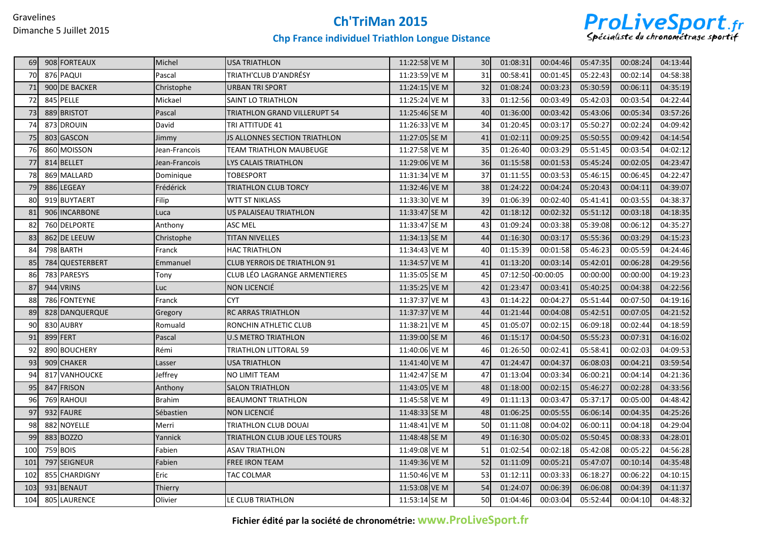

### **Chp France individuel Triathlon Longue Distance**

| 69              | 908 FORTEAUX    | Michel        | <b>USA TRIATHLON</b>                 | 11:22:58 VE M | 30 <sup>l</sup> | 01:08:31 | 00:04:46           | 05:47:35 | 00:08:24 | 04:13:44 |
|-----------------|-----------------|---------------|--------------------------------------|---------------|-----------------|----------|--------------------|----------|----------|----------|
| <b>70</b>       | 876 PAQUI       | Pascal        | TRIATH'CLUB D'ANDRÉSY                | 11:23:59 VE M | 31              | 00:58:41 | 00:01:45           | 05:22:43 | 00:02:14 | 04:58:38 |
| 71              | 900 DE BACKER   | Christophe    | <b>URBAN TRI SPORT</b>               | 11:24:15 VE M | 32              | 01:08:24 | 00:03:23           | 05:30:59 | 00:06:11 | 04:35:19 |
| 72              | 845 PELLE       | Mickael       | <b>SAINT LO TRIATHLON</b>            | 11:25:24 VE M | 33              | 01:12:56 | 00:03:49           | 05:42:03 | 00:03:54 | 04:22:44 |
| 73              | 889 BRISTOT     | Pascal        | TRIATHLON GRAND VILLERUPT 54         | 11:25:46 SE M | 40              | 01:36:00 | 00:03:42           | 05:43:06 | 00:05:34 | 03:57:26 |
| 74              | 873 DROUIN      | David         | TRI ATTITUDE 41                      | 11:26:33 VE M | 34              | 01:20:45 | 00:03:17           | 05:50:27 | 00:02:24 | 04:09:42 |
| 75              | 803 GASCON      | Jimmy         | JS ALLONNES SECTION TRIATHLON        | 11:27:05 SE M | 41              | 01:02:11 | 00:09:25           | 05:50:55 | 00:09:42 | 04:14:54 |
| 76              | 860 MOISSON     | Jean-Francois | <b>TEAM TRIATHLON MAUBEUGE</b>       | 11:27:58 VE M | 35              | 01:26:40 | 00:03:29           | 05:51:45 | 00:03:54 | 04:02:12 |
| 77              | 814 BELLET      | Jean-Francois | LYS CALAIS TRIATHLON                 | 11:29:06 VE M | 36              | 01:15:58 | 00:01:53           | 05:45:24 | 00:02:05 | 04:23:47 |
| 78              | 869 MALLARD     | Dominique     | <b>TOBESPORT</b>                     | 11:31:34 VE M | 37              | 01:11:55 | 00:03:53           | 05:46:15 | 00:06:45 | 04:22:47 |
| 79              | 886 LEGEAY      | Frédérick     | <b>TRIATHLON CLUB TORCY</b>          | 11:32:46 VE M | 38              | 01:24:22 | 00:04:24           | 05:20:43 | 00:04:11 | 04:39:07 |
| 80              | 919 BUYTAERT    | Filip         | <b>WTT ST NIKLASS</b>                | 11:33:30 VE M | 39              | 01:06:39 | 00:02:40           | 05:41:41 | 00:03:55 | 04:38:37 |
| 81              | 906 INCARBONE   | Luca          | <b>US PALAISEAU TRIATHLON</b>        | 11:33:47 SE M | 42              | 01:18:12 | 00:02:32           | 05:51:12 | 00:03:18 | 04:18:35 |
| 82              | 760 DELPORTE    | Anthony       | <b>ASC MEL</b>                       | 11:33:47 SE M | 43              | 01:09:24 | 00:03:38           | 05:39:08 | 00:06:12 | 04:35:27 |
| 83              | 862 DE LEEUW    | Christophe    | <b>TITAN NIVELLES</b>                | 11:34:13 SE M | 44              | 01:16:30 | 00:03:17           | 05:55:36 | 00:03:29 | 04:15:23 |
| 84              | 798 BARTH       | Franck        | <b>HAC TRIATHLON</b>                 | 11:34:43 VE M | 40              | 01:15:39 | 00:01:58           | 05:46:23 | 00:05:59 | 04:24:46 |
| 85              | 784 QUESTERBERT | Emmanuel      | <b>CLUB YERROIS DE TRIATHLON 91</b>  | 11:34:57 VE M | 41              | 01:13:20 | 00:03:14           | 05:42:01 | 00:06:28 | 04:29:56 |
| 86              | 783 PARESYS     | Tony          | <b>CLUB LÉO LAGRANGE ARMENTIERES</b> | 11:35:05 SE M | 45              |          | 07:12:50 -00:00:05 | 00:00:00 | 00:00:00 | 04:19:23 |
| 87              | 944 VRINS       | Luc           | <b>NON LICENCIÉ</b>                  | 11:35:25 VE M | 42              | 01:23:47 | 00:03:41           | 05:40:25 | 00:04:38 | 04:22:56 |
| 88              | 786 FONTEYNE    | Franck        | <b>CYT</b>                           | 11:37:37 VE M | 43              | 01:14:22 | 00:04:27           | 05:51:44 | 00:07:50 | 04:19:16 |
| 89              | 828 DANQUERQUE  | Gregory       | <b>RC ARRAS TRIATHLON</b>            | 11:37:37 VE M | 44              | 01:21:44 | 00:04:08           | 05:42:51 | 00:07:05 | 04:21:52 |
| 90              | 830 AUBRY       | Romuald       | RONCHIN ATHLETIC CLUB                | 11:38:21 VE M | 45              | 01:05:07 | 00:02:15           | 06:09:18 | 00:02:44 | 04:18:59 |
| 91              | 899 FERT        | Pascal        | <b>U.S METRO TRIATHLON</b>           | 11:39:00 SE M | 46              | 01:15:17 | 00:04:50           | 05:55:23 | 00:07:31 | 04:16:02 |
| 92              | 890 BOUCHERY    | Rémi          | TRIATHLON LITTORAL 59                | 11:40:06 VE M | 46              | 01:26:50 | 00:02:41           | 05:58:41 | 00:02:03 | 04:09:53 |
| 93              | 909 CHAKER      | Lasser        | <b>USA TRIATHLON</b>                 | 11:41:40 VE M | 47              | 01:24:47 | 00:04:37           | 06:08:03 | 00:04:21 | 03:59:54 |
| 94              | 817 VANHOUCKE   | Jeffrey       | <b>NO LIMIT TEAM</b>                 | 11:42:47 SE M | 47              | 01:13:04 | 00:03:34           | 06:00:21 | 00:04:14 | 04:21:36 |
| 95              | 847 FRISON      | Anthony       | <b>SALON TRIATHLON</b>               | 11:43:05 VE M | 48              | 01:18:00 | 00:02:15           | 05:46:27 | 00:02:28 | 04:33:56 |
| 96              | 769 RAHOUI      | <b>Brahim</b> | <b>BEAUMONT TRIATHLON</b>            | 11:45:58 VE M | 49              | 01:11:13 | 00:03:47           | 05:37:17 | 00:05:00 | 04:48:42 |
| 97              | 932 FAURE       | Sébastien     | <b>NON LICENCIÉ</b>                  | 11:48:33 SE M | 48              | 01:06:25 | 00:05:55           | 06:06:14 | 00:04:35 | 04:25:26 |
| 98              | 882 NOYELLE     | Merri         | TRIATHLON CLUB DOUAI                 | 11:48:41 VE M | 50              | 01:11:08 | 00:04:02           | 06:00:11 | 00:04:18 | 04:29:04 |
| 99              | 883 BOZZO       | Yannick       | TRIATHLON CLUB JOUE LES TOURS        | 11:48:48 SE M | 49              | 01:16:30 | 00:05:02           | 05:50:45 | 00:08:33 | 04:28:01 |
| 100             | 759 BOIS        | Fabien        | <b>ASAV TRIATHLON</b>                | 11:49:08 VE M | 51              | 01:02:54 | 00:02:18           | 05:42:08 | 00:05:22 | 04:56:28 |
| 101             | 797 SEIGNEUR    | Fabien        | <b>FREE IRON TEAM</b>                | 11:49:36 VE M | 52              | 01:11:09 | 00:05:21           | 05:47:07 | 00:10:14 | 04:35:48 |
| 102             | 855 CHARDIGNY   | Eric          | <b>TAC COLMAR</b>                    | 11:50:46 VE M | 53              | 01:12:11 | 00:03:33           | 06:18:27 | 00:06:22 | 04:10:15 |
| 10 <sub>3</sub> | 931 BENAUT      | Thierry       |                                      | 11:53:08 VE M | 54              | 01:24:07 | 00:06:39           | 06:06:08 | 00:04:39 | 04:11:37 |
| 104             | 805 LAURENCE    | Olivier       | LE CLUB TRIATHLON                    | 11:53:14 SE M | 50              | 01:04:46 | 00:03:04           | 05:52:44 | 00:04:10 | 04:48:32 |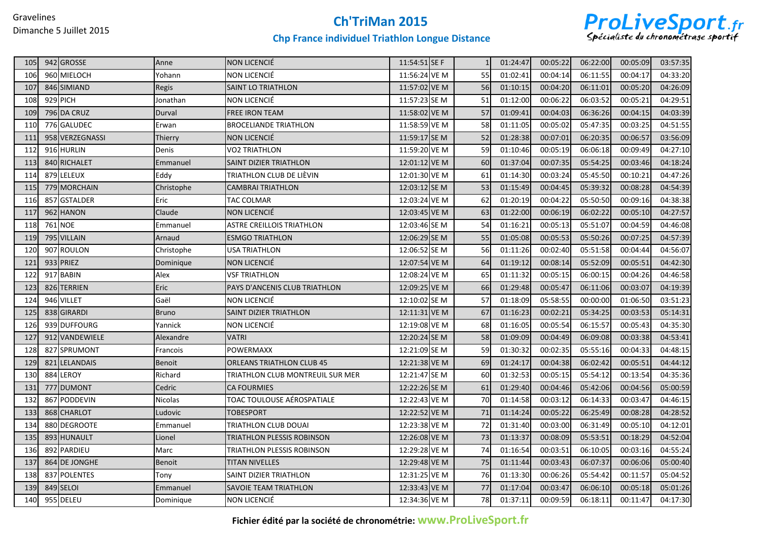

## **Chp France individuel Triathlon Longue Distance**

| 105             | 942 GROSSE      | Anne          | <b>NON LICENCIÉ</b>              | 11:54:51 SE F |    | 01:24:47 | 00:05:22 | 06:22:00 | 00:05:09 | 03:57:35 |
|-----------------|-----------------|---------------|----------------------------------|---------------|----|----------|----------|----------|----------|----------|
| 106             | 960 MIELOCH     | Yohann        | NON LICENCIÉ                     | 11:56:24 VE M | 55 | 01:02:41 | 00:04:14 | 06:11:55 | 00:04:17 | 04:33:20 |
| 107             | 846 SIMIAND     | Regis         | SAINT LO TRIATHLON               | 11:57:02 VE M | 56 | 01:10:15 | 00:04:20 | 06:11:01 | 00:05:20 | 04:26:09 |
| 108             | 929 PICH        | Jonathan      | NON LICENCIÉ                     | 11:57:23 SE M | 51 | 01:12:00 | 00:06:22 | 06:03:52 | 00:05:21 | 04:29:51 |
| 109             | 796 DA CRUZ     | Durval        | <b>FREE IRON TEAM</b>            | 11:58:02 VE M | 57 | 01:09:41 | 00:04:03 | 06:36:26 | 00:04:15 | 04:03:39 |
| 110             | 776 GALUDEC     | Erwan         | <b>BROCELIANDE TRIATHLON</b>     | 11:58:59 VE M | 58 | 01:11:05 | 00:05:02 | 05:47:35 | 00:03:25 | 04:51:55 |
| 111             | 958 VERZEGNASSI | Thierry       | NON LICENCIÉ                     | 11:59:17 SE M | 52 | 01:28:38 | 00:07:01 | 06:20:35 | 00:06:57 | 03:56:09 |
| 112             | 916 HURLIN      | Denis         | <b>VO2 TRIATHLON</b>             | 11:59:20 VE M | 59 | 01:10:46 | 00:05:19 | 06:06:18 | 00:09:49 | 04:27:10 |
| 113             | 840 RICHALET    | Emmanuel      | <b>SAINT DIZIER TRIATHLON</b>    | 12:01:12 VE M | 60 | 01:37:04 | 00:07:35 | 05:54:25 | 00:03:46 | 04:18:24 |
| 114             | 879 LELEUX      | Eddy          | TRIATHLON CLUB DE LIÈVIN         | 12:01:30 VE M | 61 | 01:14:30 | 00:03:24 | 05:45:50 | 00:10:21 | 04:47:26 |
| 115             | 779 MORCHAIN    | Christophe    | CAMBRAI TRIATHLON                | 12:03:12 SE M | 53 | 01:15:49 | 00:04:45 | 05:39:32 | 00:08:28 | 04:54:39 |
| 116             | 857 GSTALDER    | Eric          | TAC COLMAR                       | 12:03:24 VE M | 62 | 01:20:19 | 00:04:22 | 05:50:50 | 00:09:16 | 04:38:38 |
| 117             | 962 HANON       | Claude        | NON LICENCIÉ                     | 12:03:45 VE M | 63 | 01:22:00 | 00:06:19 | 06:02:22 | 00:05:10 | 04:27:57 |
| 118             | 761 NOE         | Emmanuel      | ASTRE CREILLOIS TRIATHLON        | 12:03:46 SE M | 54 | 01:16:21 | 00:05:13 | 05:51:07 | 00:04:59 | 04:46:08 |
| 119             | 795 VILLAIN     | Arnaud        | <b>ESMGO TRIATHLON</b>           | 12:06:29 SE M | 55 | 01:05:08 | 00:05:53 | 05:50:26 | 00:07:25 | 04:57:39 |
| 12 <sub>C</sub> | 907 ROULON      | Christophe    | USA TRIATHLON                    | 12:06:52 SE M | 56 | 01:11:26 | 00:02:40 | 05:51:58 | 00:04:44 | 04:56:07 |
| 121             | 933 PRIEZ       | Dominique     | NON LICENCIÉ                     | 12:07:54 VE M | 64 | 01:19:12 | 00:08:14 | 05:52:09 | 00:05:51 | 04:42:30 |
| 12 <sub>2</sub> | 917 BABIN       | Alex          | VSF TRIATHLON                    | 12:08:24 VE M | 65 | 01:11:32 | 00:05:15 | 06:00:15 | 00:04:26 | 04:46:58 |
| 123             | 826 TERRIEN     | Eric          | PAYS D'ANCENIS CLUB TRIATHLON    | 12:09:25 VE M | 66 | 01:29:48 | 00:05:47 | 06:11:06 | 00:03:07 | 04:19:39 |
| 124             | 946 VILLET      | Gaël          | NON LICENCIÉ                     | 12:10:02 SE M | 57 | 01:18:09 | 05:58:55 | 00:00:00 | 01:06:50 | 03:51:23 |
| 125             | 838 GIRARDI     | <b>Bruno</b>  | <b>SAINT DIZIER TRIATHLON</b>    | 12:11:31 VE M | 67 | 01:16:23 | 00:02:21 | 05:34:25 | 00:03:53 | 05:14:31 |
| 126             | 939 DUFFOURG    | Yannick       | <b>NON LICENCIÉ</b>              | 12:19:08 VE M | 68 | 01:16:05 | 00:05:54 | 06:15:57 | 00:05:43 | 04:35:30 |
| 127             | 912 VANDEWIELE  | Alexandre     | <b>VATRI</b>                     | 12:20:24 SE M | 58 | 01:09:09 | 00:04:49 | 06:09:08 | 00:03:38 | 04:53:41 |
| 128             | 827 SPRUMONT    | Francois      | <b>POWERMAXX</b>                 | 12:21:09 SE M | 59 | 01:30:32 | 00:02:35 | 05:55:16 | 00:04:33 | 04:48:15 |
| 129             | 821 LELANDAIS   | <b>Benoit</b> | <b>ORLEANS TRIATHLON CLUB 45</b> | 12:21:38 VE M | 69 | 01:24:17 | 00:04:38 | 06:02:42 | 00:05:51 | 04:44:12 |
| 130             | 884 LEROY       | Richard       | TRIATHLON CLUB MONTREUIL SUR MER | 12:21:47 SE M | 60 | 01:32:53 | 00:05:15 | 05:54:12 | 00:13:54 | 04:35:36 |
| 131             | 777 DUMONT      | Cedric        | <b>CA FOURMIES</b>               | 12:22:26 SE M | 61 | 01:29:40 | 00:04:46 | 05:42:06 | 00:04:56 | 05:00:59 |
| 132             | 867 PODDEVIN    | Nicolas       | TOAC TOULOUSE AÉROSPATIALE       | 12:22:43 VE M | 70 | 01:14:58 | 00:03:12 | 06:14:33 | 00:03:47 | 04:46:15 |
| 133             | 868 CHARLOT     | Ludovic       | <b>TOBESPORT</b>                 | 12:22:52 VE M | 71 | 01:14:24 | 00:05:22 | 06:25:49 | 00:08:28 | 04:28:52 |
| 134             | 880 DEGROOTE    | Emmanuel      | TRIATHLON CLUB DOUAI             | 12:23:38 VE M | 72 | 01:31:40 | 00:03:00 | 06:31:49 | 00:05:10 | 04:12:01 |
| 135             | 893 HUNAULT     | Lionel        | TRIATHLON PLESSIS ROBINSON       | 12:26:08 VE M | 73 | 01:13:37 | 00:08:09 | 05:53:51 | 00:18:29 | 04:52:04 |
| 136             | 892 PARDIEU     | Marc          | TRIATHLON PLESSIS ROBINSON       | 12:29:28 VE M | 74 | 01:16:54 | 00:03:51 | 06:10:05 | 00:03:16 | 04:55:24 |
| 137             | 864 DE JONGHE   | <b>Benoit</b> | <b>TITAN NIVELLES</b>            | 12:29:48 VE M | 75 | 01:11:44 | 00:03:43 | 06:07:37 | 00:06:06 | 05:00:40 |
| 138             | 837 POLENTES    | Tony          | SAINT DIZIER TRIATHLON           | 12:31:25 VE M | 76 | 01:13:30 | 00:06:26 | 05:54:42 | 00:11:57 | 05:04:52 |
| 139             | 849 SELOI       | Emmanuel      | SAVOIE TEAM TRIATHLON            | 12:33:43 VE M | 77 | 01:17:04 | 00:03:47 | 06:06:10 | 00:05:18 | 05:01:26 |
| 140             | 955 DELEU       | Dominique     | NON LICENCIÉ                     | 12:34:36 VE M | 78 | 01:37:11 | 00:09:59 | 06:18:11 | 00:11:47 | 04:17:30 |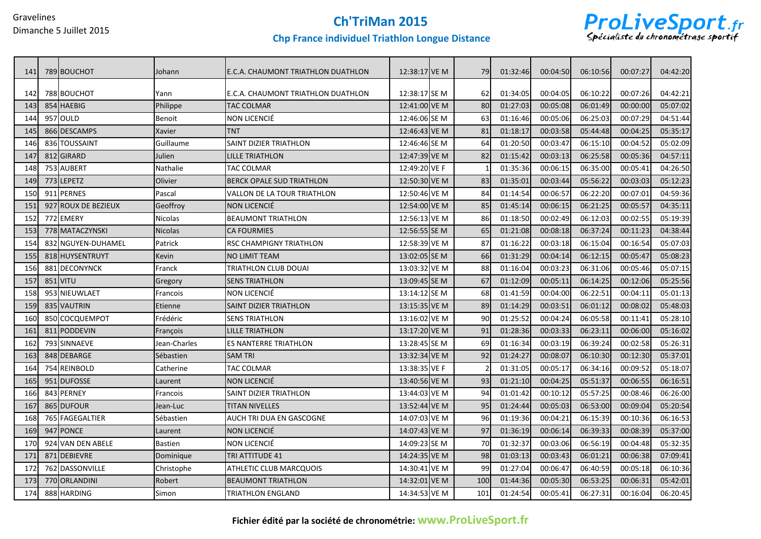

## **Chp France individuel Triathlon Longue Distance**

| 141             | 789 BOUCHOT         | Johann         | E.C.A. CHAUMONT TRIATHLON DUATHLON | 12:38:17 VE M |              | 79  | 01:32:46 | 00:04:50 | 06:10:56 | 00:07:27 | 04:42:20 |
|-----------------|---------------------|----------------|------------------------------------|---------------|--------------|-----|----------|----------|----------|----------|----------|
| 142             | 788 BOUCHOT         | Yann           | E.C.A. CHAUMONT TRIATHLON DUATHLON | 12:38:17 SE M |              | 62  | 01:34:05 | 00:04:05 | 06:10:22 | 00:07:26 | 04:42:21 |
| 143             | 854 HAEBIG          | Philippe       | TAC COLMAR                         | 12:41:00 VE M |              | 80  | 01:27:03 | 00:05:08 | 06:01:49 | 00:00:00 | 05:07:02 |
| 144             | 957 OULD            | <b>Benoit</b>  | NON LICENCIÉ                       | 12:46:06 SE M |              | 63  | 01:16:46 | 00:05:06 | 06:25:03 | 00:07:29 | 04:51:44 |
| 145             | 866 DESCAMPS        | Xavier         | <b>TNT</b>                         | 12:46:43 VE M |              | 81  | 01:18:17 | 00:03:58 | 05:44:48 | 00:04:25 | 05:35:17 |
| 146             | 836 TOUSSAINT       | Guillaume      | SAINT DIZIER TRIATHLON             | 12:46:46 SE M |              | 64  | 01:20:50 | 00:03:47 | 06:15:10 | 00:04:52 | 05:02:09 |
| 147             | 812 GIRARD          | Julien         | <b>LILLE TRIATHLON</b>             | 12:47:39 VE M |              | 82  | 01:15:42 | 00:03:13 | 06:25:58 | 00:05:36 | 04:57:11 |
| 148             | 753 AUBERT          | Nathalie       | <b>TAC COLMAR</b>                  | 12:49:20 VE F |              |     | 01:35:36 | 00:06:15 | 06:35:00 | 00:05:41 | 04:26:50 |
| 149             | 773 LEPETZ          | Olivier        | <b>BERCK OPALE SUD TRIATHLON</b>   | 12:50:30 VE M |              | 83  | 01:35:01 | 00:03:44 | 05:56:22 | 00:03:03 | 05:12:23 |
| 150             | 911 PERNES          | Pascal         | VALLON DE LA TOUR TRIATHLON        | 12:50:46 VE M |              | 84  | 01:14:54 | 00:06:57 | 06:22:20 | 00:07:01 | 04:59:36 |
| 151             | 927 ROUX DE BEZIEUX | Geoffroy       | <b>NON LICENCIÉ</b>                | 12:54:00 VE M |              | 85  | 01:45:14 | 00:06:15 | 06:21:25 | 00:05:57 | 04:35:11 |
| 152             | 772 EMERY           | Nicolas        | <b>BEAUMONT TRIATHLON</b>          | 12:56:13 VE M |              | 86  | 01:18:50 | 00:02:49 | 06:12:03 | 00:02:55 | 05:19:39 |
| 153             | 778 MATACZYNSKI     | <b>Nicolas</b> | <b>CA FOURMIES</b>                 | 12:56:55 SE M |              | 65  | 01:21:08 | 00:08:18 | 06:37:24 | 00:11:23 | 04:38:44 |
| 154             | 832 NGUYEN-DUHAMEL  | Patrick        | <b>RSC CHAMPIGNY TRIATHLON</b>     | 12:58:39 VE M |              | 87  | 01:16:22 | 00:03:18 | 06:15:04 | 00:16:54 | 05:07:03 |
| 155             | 818 HUYSENTRUYT     | Kevin          | <b>NO LIMIT TEAM</b>               | 13:02:05 SE M |              | 66  | 01:31:29 | 00:04:14 | 06:12:15 | 00:05:47 | 05:08:23 |
| 156             | 881 DECONYNCK       | Franck         | <b>TRIATHLON CLUB DOUAI</b>        | 13:03:32      | <b>IVE M</b> | 88  | 01:16:04 | 00:03:23 | 06:31:06 | 00:05:46 | 05:07:15 |
| 157             | 851 VITU            | Gregory        | <b>SENS TRIATHLON</b>              | 13:09:45 SE M |              | 67  | 01:12:09 | 00:05:11 | 06:14:25 | 00:12:06 | 05:25:56 |
| 158             | 953 NIEUWLAET       | Francois       | NON LICENCIÉ                       | 13:14:12 SE M |              | 68  | 01:41:59 | 00:04:00 | 06:22:51 | 00:04:11 | 05:01:13 |
| 159             | 835 VAUTRIN         | Etienne        | SAINT DIZIER TRIATHLON             | 13:15:35 VE M |              | 89  | 01:14:29 | 00:03:51 | 06:01:12 | 00:08:02 | 05:48:03 |
| 160             | 850 COCQUEMPOT      | Frédéric       | <b>SENS TRIATHLON</b>              | 13:16:02      | VE M         | 90  | 01:25:52 | 00:04:24 | 06:05:58 | 00:11:41 | 05:28:10 |
| 161             | 811 PODDEVIN        | François       | LILLE TRIATHLON                    | 13:17:20 VE M |              | 91  | 01:28:36 | 00:03:33 | 06:23:11 | 00:06:00 | 05:16:02 |
| 162             | 793 SINNAEVE        | Jean-Charles   | <b>ES NANTERRE TRIATHLON</b>       | 13:28:45 SE M |              | 69  | 01:16:34 | 00:03:19 | 06:39:24 | 00:02:58 | 05:26:31 |
| 163             | 848 DEBARGE         | Sébastien      | <b>SAM TRI</b>                     | 13:32:34 VE M |              | 92  | 01:24:27 | 00:08:07 | 06:10:30 | 00:12:30 | 05:37:01 |
| 164             | 754 REINBOLD        | Catherine      | TAC COLMAR                         | 13:38:35 VE F |              |     | 01:31:05 | 00:05:17 | 06:34:16 | 00:09:52 | 05:18:07 |
| 165             | 951 DUFOSSE         | Laurent        | <b>NON LICENCIÉ</b>                | 13:40:56 VE M |              | 93  | 01:21:10 | 00:04:25 | 05:51:37 | 00:06:55 | 06:16:51 |
| 166             | 843 PERNEY          | Francois       | SAINT DIZIER TRIATHLON             | 13:44:03      | <b>IVE M</b> | 94  | 01:01:42 | 00:10:12 | 05:57:25 | 00:08:46 | 06:26:00 |
| 167             | 865 DUFOUR          | Jean-Luc       | <b>TITAN NIVELLES</b>              | 13:52:44 VE M |              | 95  | 01:24:44 | 00:05:03 | 06:53:00 | 00:09:04 | 05:20:54 |
| 168             | 765 FAGEGALTIER     | Sébastien      | AUCH TRI DUA EN GASCOGNE           | 14:07:03      | <b>IVE M</b> | 96  | 01:19:36 | 00:04:21 | 06:15:39 | 00:10:36 | 06:16:53 |
| 169             | 947 PONCE           | Laurent        | NON LICENCIÉ                       | 14:07:43 VE M |              | 97  | 01:36:19 | 00:06:14 | 06:39:33 | 00:08:39 | 05:37:00 |
| 170             | 924 VAN DEN ABELE   | <b>Bastien</b> | <b>NON LICENCIÉ</b>                | 14:09:23      | <b>SEM</b>   | 70  | 01:32:37 | 00:03:06 | 06:56:19 | 00:04:48 | 05:32:35 |
| 17 <sup>2</sup> | 871 DEBIEVRE        | Dominique      | TRI ATTITUDE 41                    | 14:24:35 VE M |              | 98  | 01:03:13 | 00:03:43 | 06:01:21 | 00:06:38 | 07:09:41 |
| 172             | 762 DASSONVILLE     | Christophe     | ATHLETIC CLUB MARCQUOIS            | 14:30:41 VE M |              | 99  | 01:27:04 | 00:06:47 | 06:40:59 | 00:05:18 | 06:10:36 |
| 173             | 770 ORLANDINI       | Robert         | <b>BEAUMONT TRIATHLON</b>          | 14:32:01      | <b>IVE M</b> | 100 | 01:44:36 | 00:05:30 | 06:53:25 | 00:06:31 | 05:42:01 |
| 174             | 888 HARDING         | Simon          | TRIATHLON ENGLAND                  | 14:34:53 VE M |              | 101 | 01:24:54 | 00:05:41 | 06:27:31 | 00:16:04 | 06:20:45 |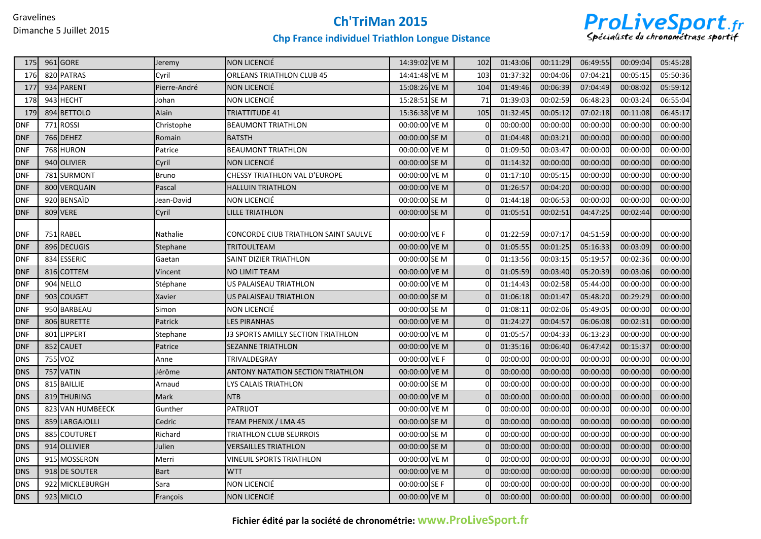

## **Chp France individuel Triathlon Longue Distance**

| 175             | 961 GORE         | Jeremy       | <b>NON LICENCIÉ</b>                       | 14:39:02 VE M | 102      | 01:43:06 | 00:11:29 | 06:49:55 | 00:09:04 | 05:45:28 |
|-----------------|------------------|--------------|-------------------------------------------|---------------|----------|----------|----------|----------|----------|----------|
| 176             | 820 PATRAS       | Cyril        | <b>ORLEANS TRIATHLON CLUB 45</b>          | 14:41:48 VE M | 103      | 01:37:32 | 00:04:06 | 07:04:21 | 00:05:15 | 05:50:36 |
| 177             | 934 PARENT       | Pierre-André | <b>NON LICENCIÉ</b>                       | 15:08:26 VE M | 104      | 01:49:46 | 00:06:39 | 07:04:49 | 00:08:02 | 05:59:12 |
| 178             | 943 HECHT        | Johan        | <b>NON LICENCIÉ</b>                       | 15:28:51 SE M | 71       | 01:39:03 | 00:02:59 | 06:48:23 | 00:03:24 | 06:55:04 |
| 17 <sup>c</sup> | 894 BETTOLO      | <b>Alain</b> | <b>TRIATTITUDE 41</b>                     | 15:36:38 VE M | 105      | 01:32:45 | 00:05:12 | 07:02:18 | 00:11:08 | 06:45:17 |
| <b>DNF</b>      | 771 ROSSI        | Christophe   | <b>BEAUMONT TRIATHLON</b>                 | 00:00:00 VE M | $\Omega$ | 00:00:00 | 00:00:00 | 00:00:00 | 00:00:00 | 00:00:00 |
| <b>DNF</b>      | 766 DEHEZ        | Romain       | <b>BATSTH</b>                             | 00:00:00 SE M |          | 01:04:48 | 00:03:21 | 00:00:00 | 00:00:00 | 00:00:00 |
| <b>DNF</b>      | 768 HURON        | Patrice      | <b>BEAUMONT TRIATHLON</b>                 | 00:00:00 VE M |          | 01:09:50 | 00:03:47 | 00:00:00 | 00:00:00 | 00:00:00 |
| <b>DNF</b>      | 940 OLIVIER      | Cyril        | <b>NON LICENCIÉ</b>                       | 00:00:00 SE M |          | 01:14:32 | 00:00:00 | 00:00:00 | 00:00:00 | 00:00:00 |
| <b>DNF</b>      | 781 SURMONT      | Bruno        | CHESSY TRIATHLON VAL D'EUROPE             | 00:00:00 VE M |          | 01:17:10 | 00:05:15 | 00:00:00 | 00:00:00 | 00:00:00 |
| <b>DNF</b>      | 800 VERQUAIN     | Pascal       | <b>HALLUIN TRIATHLON</b>                  | 00:00:00 VE M |          | 01:26:57 | 00:04:20 | 00:00:00 | 00:00:00 | 00:00:00 |
| <b>DNF</b>      | 920 BENSAÏD      | Jean-David   | <b>NON LICENCIÉ</b>                       | 00:00:00 SE M |          | 01:44:18 | 00:06:53 | 00:00:00 | 00:00:00 | 00:00:00 |
| <b>DNF</b>      | 809 VERE         | Cyril        | LILLE TRIATHLON                           | 00:00:00 SE M |          | 01:05:51 | 00:02:51 | 04:47:25 | 00:02:44 | 00:00:00 |
|                 |                  |              |                                           |               |          |          |          |          |          |          |
| <b>DNF</b>      | 751 RABEL        | Nathalie     | CONCORDE CIUB TRIATHLON SAINT SAULVE      | 00:00:00 VE F | $\Omega$ | 01:22:59 | 00:07:17 | 04:51:59 | 00:00:00 | 00:00:00 |
| <b>DNF</b>      | 896 DECUGIS      | Stephane     | <b>TRITOULTEAM</b>                        | 00:00:00 VE M | $\Omega$ | 01:05:55 | 00:01:25 | 05:16:33 | 00:03:09 | 00:00:00 |
| <b>DNF</b>      | 834 ESSERIC      | Gaetan       | SAINT DIZIER TRIATHLON                    | 00:00:00 SE M |          | 01:13:56 | 00:03:15 | 05:19:57 | 00:02:36 | 00:00:00 |
| <b>DNF</b>      | 816 COTTEM       | Vincent      | <b>NO LIMIT TEAM</b>                      | 00:00:00 VE M | $\Omega$ | 01:05:59 | 00:03:40 | 05:20:39 | 00:03:06 | 00:00:00 |
| <b>DNF</b>      | 904 NELLO        | Stéphane     | <b>US PALAISEAU TRIATHLON</b>             | 00:00:00 VE M |          | 01:14:43 | 00:02:58 | 05:44:00 | 00:00:00 | 00:00:00 |
| <b>DNF</b>      | 903 COUGET       | Xavier       | <b>US PALAISEAU TRIATHLON</b>             | 00:00:00 SE M |          | 01:06:18 | 00:01:47 | 05:48:20 | 00:29:29 | 00:00:00 |
| <b>DNF</b>      | 950 BARBEAU      | Simon        | <b>NON LICENCIÉ</b>                       | 00:00:00 SE M |          | 01:08:11 | 00:02:06 | 05:49:05 | 00:00:00 | 00:00:00 |
| <b>DNF</b>      | 806 BURETTE      | Patrick      | <b>LES PIRANHAS</b>                       | 00:00:00 VE M | $\Omega$ | 01:24:27 | 00:04:57 | 06:06:08 | 00:02:31 | 00:00:00 |
| <b>DNF</b>      | 801 LIPPERT      | Stephane     | <b>J3 SPORTS AMILLY SECTION TRIATHLON</b> | 00:00:00 VE M |          | 01:05:57 | 00:04:33 | 06:13:23 | 00:00:00 | 00:00:00 |
| <b>DNF</b>      | 852 CAUET        | Patrice      | <b>SEZANNE TRIATHLON</b>                  | 00:00:00 VE M |          | 01:35:16 | 00:06:40 | 06:47:42 | 00:15:37 | 00:00:00 |
| <b>DNS</b>      | 755 VOZ          | Anne         | <b>TRIVALDEGRAY</b>                       | 00:00:00 VE F | $\Omega$ | 00:00:00 | 00:00:00 | 00:00:00 | 00:00:00 | 00:00:00 |
| <b>DNS</b>      | 757 VATIN        | Jérôme       | <b>ANTONY NATATION SECTION TRIATHLON</b>  | 00:00:00 VE M | $\Omega$ | 00:00:00 | 00:00:00 | 00:00:00 | 00:00:00 | 00:00:00 |
| <b>DNS</b>      | 815 BAILLIE      | Arnaud       | LYS CALAIS TRIATHLON                      | 00:00:00 SE M | U        | 00:00:00 | 00:00:00 | 00:00:00 | 00:00:00 | 00:00:00 |
| <b>DNS</b>      | 819 THURING      | Mark         | <b>NTB</b>                                | 00:00:00 VE M |          | 00:00:00 | 00:00:00 | 00:00:00 | 00:00:00 | 00:00:00 |
| <b>DNS</b>      | 823 VAN HUMBEECK | Gunther      | <b>PATRIJOT</b>                           | 00:00:00 VE M |          | 00:00:00 | 00:00:00 | 00:00:00 | 00:00:00 | 00:00:00 |
| <b>DNS</b>      | 859 LARGAJOLLI   | Cedric       | TEAM PHENIX / LMA 45                      | 00:00:00 SE M |          | 00:00:00 | 00:00:00 | 00:00:00 | 00:00:00 | 00:00:00 |
| <b>DNS</b>      | 885 COUTURET     | Richard      | <b>TRIATHLON CLUB SEURROIS</b>            | 00:00:00 SE M |          | 00:00:00 | 00:00:00 | 00:00:00 | 00:00:00 | 00:00:00 |
| <b>DNS</b>      | 914 OLLIVIER     | Julien       | <b>VERSAILLES TRIATHLON</b>               | 00:00:00 SE M | $\Omega$ | 00:00:00 | 00:00:00 | 00:00:00 | 00:00:00 | 00:00:00 |
| <b>DNS</b>      | 915 MOSSERON     | Merri        | <b>VINEUIL SPORTS TRIATHLON</b>           | 00:00:00 VE M |          | 00:00:00 | 00:00:00 | 00:00:00 | 00:00:00 | 00:00:00 |
| <b>DNS</b>      | 918 DE SOUTER    | <b>Bart</b>  | <b>WTT</b>                                | 00:00:00 VE M |          | 00:00:00 | 00:00:00 | 00:00:00 | 00:00:00 | 00:00:00 |
| <b>DNS</b>      | 922 MICKLEBURGH  | Sara         | <b>NON LICENCIÉ</b>                       | 00:00:00 SE F |          | 00:00:00 | 00:00:00 | 00:00:00 | 00:00:00 | 00:00:00 |
| <b>DNS</b>      | 923 MICLO        | François     | <b>NON LICENCIÉ</b>                       | 00:00:00 VE M |          | 00:00:00 | 00:00:00 | 00:00:00 | 00:00:00 | 00:00:00 |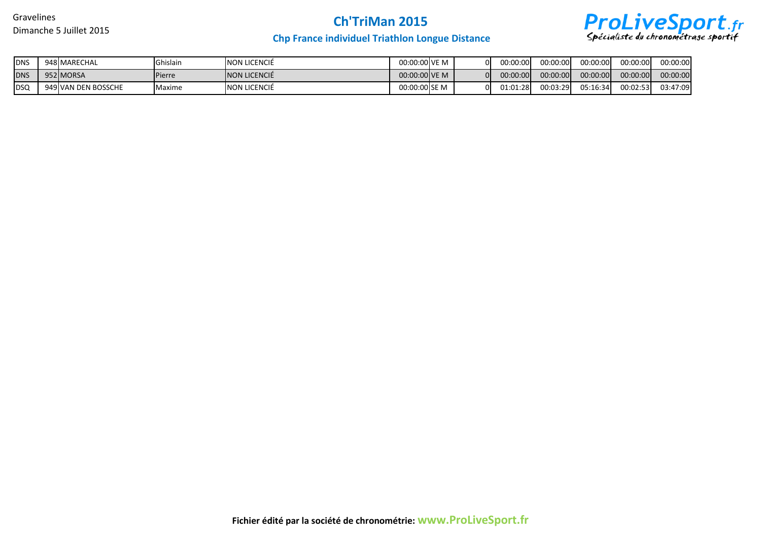

# **Chp France individuel Triathlon Longue Distance**

| <b>DNS</b> | 948 MARECHAL        | Ghislain        | NON LICENCIÉ  | 00:00:00 VE M | ΟI | 00:00:00 | 00:00:00 | 00:00:00 | 00:00:00 | 00:00:00 |
|------------|---------------------|-----------------|---------------|---------------|----|----------|----------|----------|----------|----------|
| <b>DNS</b> | 952 MORSA           | <b>I</b> Pierre | INON LICENCIÉ | 00:00:00 VE M | ΟI | 00:00:00 | 00:00:00 | 00:00:00 | 00:00:00 | 00:00:00 |
| <b>DSQ</b> | 949 VAN DEN BOSSCHE | Maxime          | NON LICENCIÉ  | 00:00:00 SE M | ΩI | 01:01:28 | 00:03:29 | 05:16:34 | 00:02:53 | 03:47:09 |